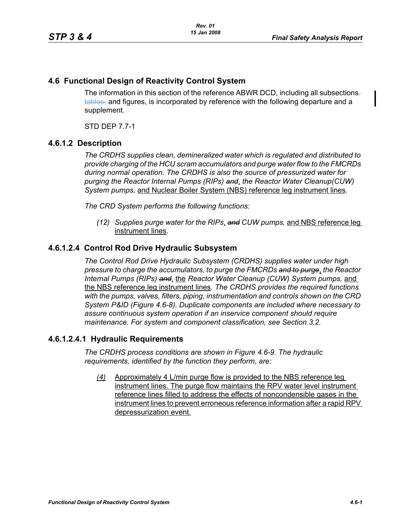## **4.6 Functional Design of Reactivity Control System**

The information in this section of the reference ABWR DCD, including all subsections $\pm$ tables, and figures, is incorporated by reference with the following departure and a supplement.

STD DEP 7.7-1

## **4.6.1.2 Description**

*The CRDHS supplies clean, demineralized water which is regulated and distributed to provide charging of the HCU scram accumulators and purge water flow to the FMCRDs during normal operation. The CRDHS is also the source of pressurized water for purging the Reactor Internal Pumps (RIPs) and*, *the Reactor Water Cleanup(CUW) System pumps,* and Nuclear Boiler System (NBS) reference leg instrument lines*.*

*The CRD System performs the following functions:*

*(12) Supplies purge water for the RIPs*, *and CUW pumps,* and NBS reference leg instrument lines*.*

## **4.6.1.2.4 Control Rod Drive Hydraulic Subsystem**

*The Control Rod Drive Hydraulic Subsystem (CRDHS) supplies water under high pressure to charge the accumulators, to purge the FMCRDs and to purge*, *the Reactor Internal Pumps (RIPs) and*, the *Reactor Water Cleanup (CUW) System pumps,* and the NBS reference leg instrument lines*. The CRDHS provides the required functions with the pumps, valves, filters, piping, instrumentation and controls shown on the CRD System P&ID (Figure 4.6-8). Duplicate components are included where necessary to assure continuous system operation if an inservice component should require maintenance. For system and component classification, see Section 3.2.*

#### **4.6.1.2.4.1 Hydraulic Requirements**

*The CRDHS process conditions are shown in Figure 4.6-9. The hydraulic requirements, identified by the function they perform, are:*

*(4)* Approximately 4 L/min purge flow is provided to the NBS reference leg instrument lines. The purge flow maintains the RPV water level instrument reference lines filled to address the effects of noncondensible gases in the instrument lines to prevent erroneous reference information after a rapid RPV depressurization event.